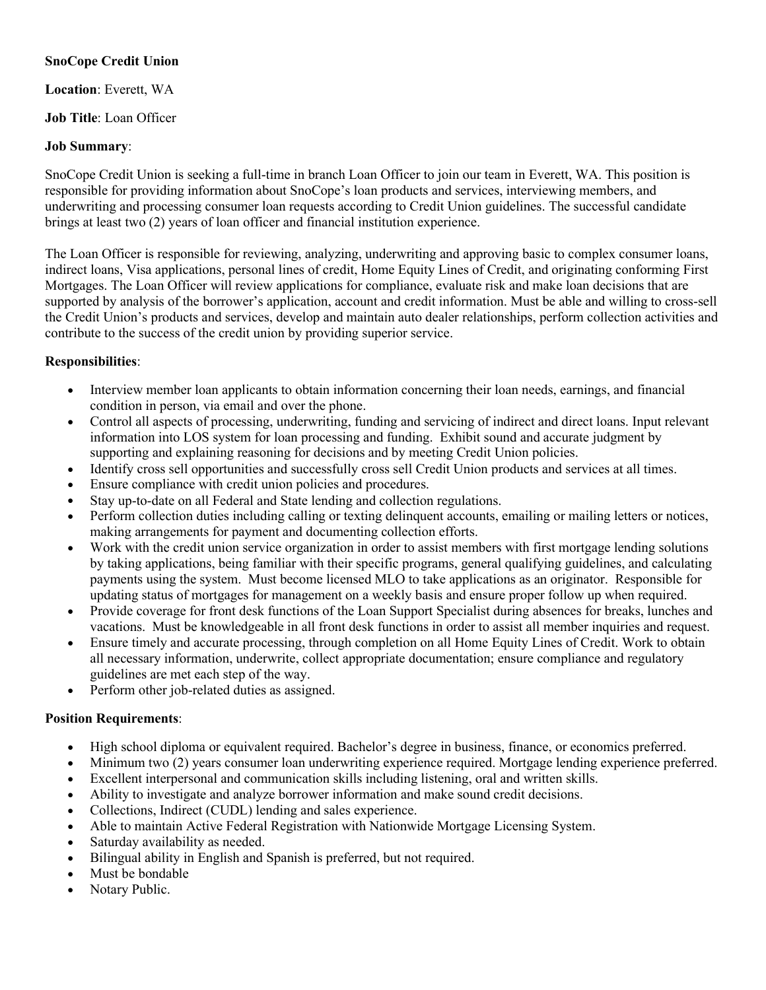# **SnoCope Credit Union**

### **Location**: Everett, WA

# **Job Title**: Loan Officer

#### **Job Summary**:

SnoCope Credit Union is seeking a full-time in branch Loan Officer to join our team in Everett, WA. This position is responsible for providing information about SnoCope's loan products and services, interviewing members, and underwriting and processing consumer loan requests according to Credit Union guidelines. The successful candidate brings at least two (2) years of loan officer and financial institution experience.

The Loan Officer is responsible for reviewing, analyzing, underwriting and approving basic to complex consumer loans, indirect loans, Visa applications, personal lines of credit, Home Equity Lines of Credit, and originating conforming First Mortgages. The Loan Officer will review applications for compliance, evaluate risk and make loan decisions that are supported by analysis of the borrower's application, account and credit information. Must be able and willing to cross-sell the Credit Union's products and services, develop and maintain auto dealer relationships, perform collection activities and contribute to the success of the credit union by providing superior service.

# **Responsibilities**:

- Interview member loan applicants to obtain information concerning their loan needs, earnings, and financial condition in person, via email and over the phone.
- Control all aspects of processing, underwriting, funding and servicing of indirect and direct loans. Input relevant information into LOS system for loan processing and funding. Exhibit sound and accurate judgment by supporting and explaining reasoning for decisions and by meeting Credit Union policies.
- Identify cross sell opportunities and successfully cross sell Credit Union products and services at all times.
- Ensure compliance with credit union policies and procedures.
- Stay up-to-date on all Federal and State lending and collection regulations.
- Perform collection duties including calling or texting delinquent accounts, emailing or mailing letters or notices, making arrangements for payment and documenting collection efforts.
- Work with the credit union service organization in order to assist members with first mortgage lending solutions by taking applications, being familiar with their specific programs, general qualifying guidelines, and calculating payments using the system. Must become licensed MLO to take applications as an originator. Responsible for updating status of mortgages for management on a weekly basis and ensure proper follow up when required.
- Provide coverage for front desk functions of the Loan Support Specialist during absences for breaks, lunches and vacations. Must be knowledgeable in all front desk functions in order to assist all member inquiries and request.
- Ensure timely and accurate processing, through completion on all Home Equity Lines of Credit. Work to obtain all necessary information, underwrite, collect appropriate documentation; ensure compliance and regulatory guidelines are met each step of the way.
- Perform other job-related duties as assigned.

# **Position Requirements**:

- High school diploma or equivalent required. Bachelor's degree in business, finance, or economics preferred.
- Minimum two (2) years consumer loan underwriting experience required. Mortgage lending experience preferred.
- Excellent interpersonal and communication skills including listening, oral and written skills.
- Ability to investigate and analyze borrower information and make sound credit decisions.
- Collections, Indirect (CUDL) lending and sales experience.
- Able to maintain Active Federal Registration with Nationwide Mortgage Licensing System.
- Saturday availability as needed.
- Bilingual ability in English and Spanish is preferred, but not required.
- Must be bondable
- Notary Public.